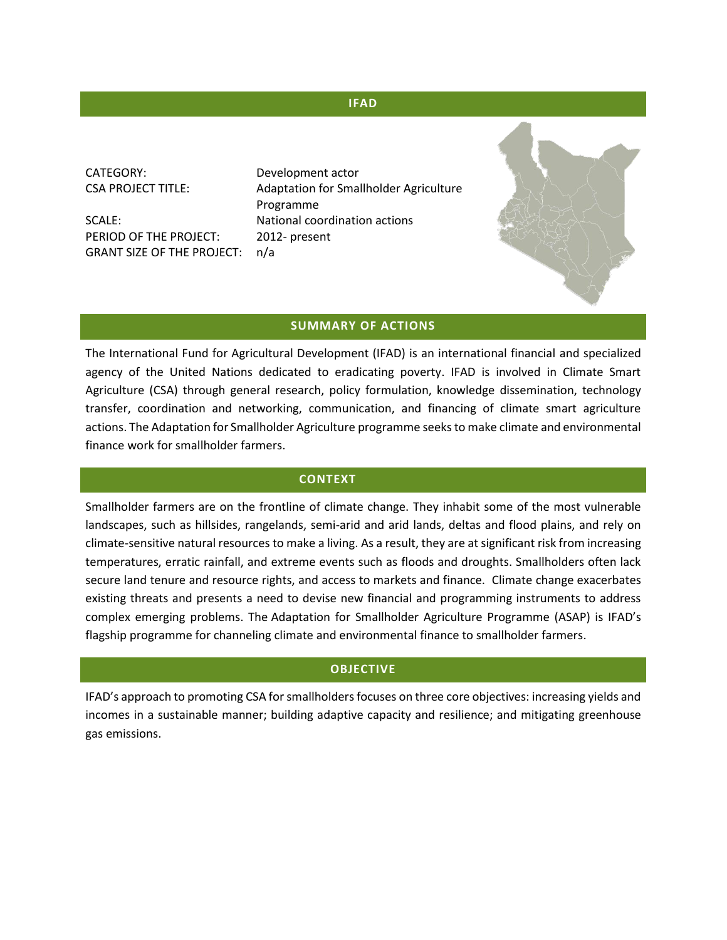#### **IFAD**

CATEGORY: Development actor

PERIOD OF THE PROJECT: 2012- present GRANT SIZE OF THE PROJECT: n/a

CSA PROJECT TITLE: Adaptation for Smallholder Agriculture Programme SCALE: National coordination actions

#### **SUMMARY OF ACTIONS**

The International Fund for Agricultural Development (IFAD) is an international financial and specialized agency of the United Nations dedicated to eradicating poverty. IFAD is involved in Climate Smart Agriculture (CSA) through general research, policy formulation, knowledge dissemination, technology transfer, coordination and networking, communication, and financing of climate smart agriculture actions. The Adaptation for Smallholder Agriculture programme seeksto make climate and environmental finance work for smallholder farmers.

#### **CONTEXT**

Smallholder farmers are on the frontline of climate change. They inhabit some of the most vulnerable landscapes, such as hillsides, rangelands, semi-arid and arid lands, deltas and flood plains, and rely on climate-sensitive natural resources to make a living. As a result, they are at significant risk from increasing temperatures, erratic rainfall, and extreme events such as floods and droughts. Smallholders often lack secure land tenure and resource rights, and access to markets and finance. Climate change exacerbates existing threats and presents a need to devise new financial and programming instruments to address complex emerging problems. The Adaptation for Smallholder Agriculture Programme (ASAP) is IFAD's flagship programme for channeling climate and environmental finance to smallholder farmers.

#### **OBJECTIVE**

IFAD's approach to promoting CSA for smallholders focuses on three core objectives: increasing yields and incomes in a sustainable manner; building adaptive capacity and resilience; and mitigating greenhouse gas emissions.